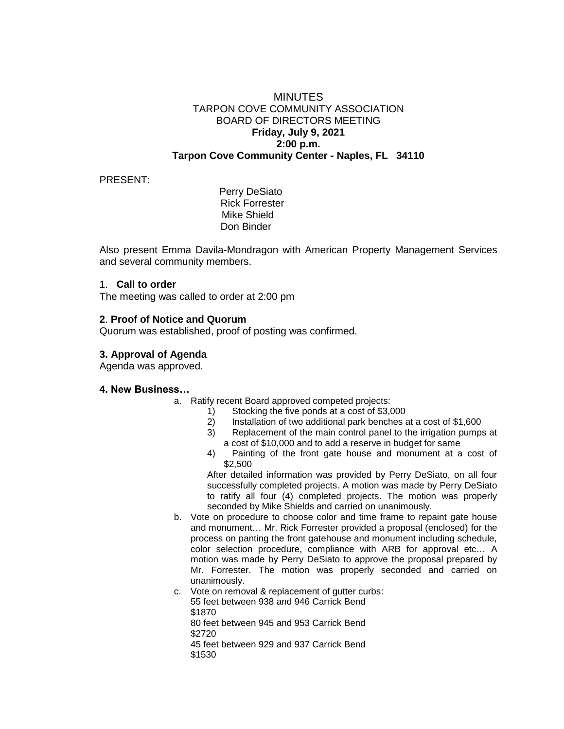## **MINUTES** TARPON COVE COMMUNITY ASSOCIATION BOARD OF DIRECTORS MEETING **Friday, July 9, 2021 2:00 p.m. Tarpon Cove Community Center - Naples, FL 34110**

### PRESENT:

 Perry DeSiato Rick Forrester Mike Shield Don Binder

Also present Emma Davila-Mondragon with American Property Management Services and several community members.

#### 1. **Call to order**

The meeting was called to order at 2:00 pm

### **2**. **Proof of Notice and Quorum**

Quorum was established, proof of posting was confirmed.

# **3. Approval of Agenda**

Agenda was approved.

### **4. New Business…**

- a. Ratify recent Board approved competed projects:
	- 1) Stocking the five ponds at a cost of \$3,000
	- 2) Installation of two additional park benches at a cost of \$1,600
	- 3) Replacement of the main control panel to the irrigation pumps at a cost of \$10,000 and to add a reserve in budget for same
	- 4) Painting of the front gate house and monument at a cost of \$2,500

After detailed information was provided by Perry DeSiato, on all four successfully completed projects. A motion was made by Perry DeSiato to ratify all four (4) completed projects. The motion was properly seconded by Mike Shields and carried on unanimously.

- b. Vote on procedure to choose color and time frame to repaint gate house and monument… Mr. Rick Forrester provided a proposal (enclosed) for the process on panting the front gatehouse and monument including schedule, color selection procedure, compliance with ARB for approval etc… A motion was made by Perry DeSiato to approve the proposal prepared by Mr. Forrester. The motion was properly seconded and carried on unanimously.
- c. Vote on removal & replacement of gutter curbs: 55 feet between 938 and 946 Carrick Bend \$1870

80 feet between 945 and 953 Carrick Bend

\$2720

45 feet between 929 and 937 Carrick Bend

\$1530